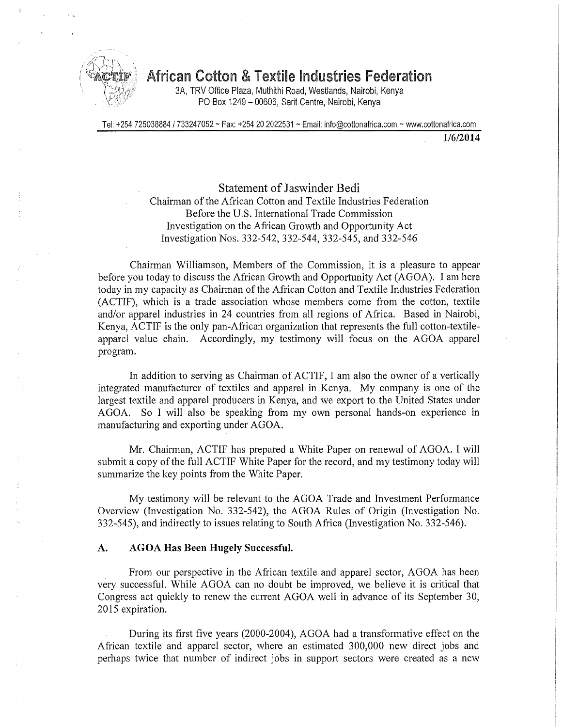

# **<sup>i</sup> ^cto\* African Cotton & Textile Industries Federation**

3A, TRV Office Plaza, Muthithi Road, Westlands, Nairobi, Kenya PO Box 1249 - 00606, Sarit Centre, Nairobi, Kenya

Tel: +254 725038884 / 733247052 ~ Fax: +254 20 2Q22531 ~ Email: info@cottonafrica.com ~ www.cottonafrica.com

**1/6/2014** 

Statement of Jaswinder Bedi Chairman of the African Cotton and Textile Industries Federation Before the U.S. International Trade Commission Investigation on the African Growth and Opportunity Act Investigation Nos. 332-542, 332-544, 332-545, and 332-546

Chairman Williamson, Members of the Commission, it is a pleasure to appear before you today to discuss the African Growth and Opportunity Act (AGOA). I am here today in my capacity as Chairman of the African Cotton and Textile Industries Federation (ACTIF), which is a trade association whose members come from the cotton, textile and/or apparel industries in 24 countries from all regions of Africa. Based in Nairobi, Kenya, ACTIF is the only pan-African organization that represents the full cotton-textileapparel value chain. Accordingly, my testimony will focus on the AGOA apparel program.

In addition to serving as Chairman of ACTIF, I am also the owner of a vertically integrated manufacturer of textiles and apparel in Kenya. My company is one of the largest textile and apparel producers in Kenya, and we export to the United States under AGOA. So I will also be speaking from my own personal hands-on experience in manufacturing and exporting under AGOA.

Mr. Chairman, ACTIF has prepared a White Paper on renewal of AGOA. I will submit a copy of the full ACTIF White Paper for the record, and my testimony today will summarize the key points from the White Paper.

My testimony will be relevant to the AGOA Trade and Investment Performance Overview (Investigation No. 332-542), the AGOA Rules of Origin (Investigation No. 332-545), and indirectly to issues relating to South Africa (Investigation No. 332-546).

### **A. AGOA Has Been Hugely Successful.**

From our perspective in the African textile and apparel sector, AGOA has been very successful. While AGOA can no doubt be improved, we believe it is critical that Congress act quickly to renew the current AGOA well in advance of its September 30, 2015 expiration.

During its first five years (2000-2004), AGOA had a transformative effect on the African textile and apparel sector, where an estimated 300,000 new direct jobs and perhaps twice that number of indirect jobs in support sectors were created as a new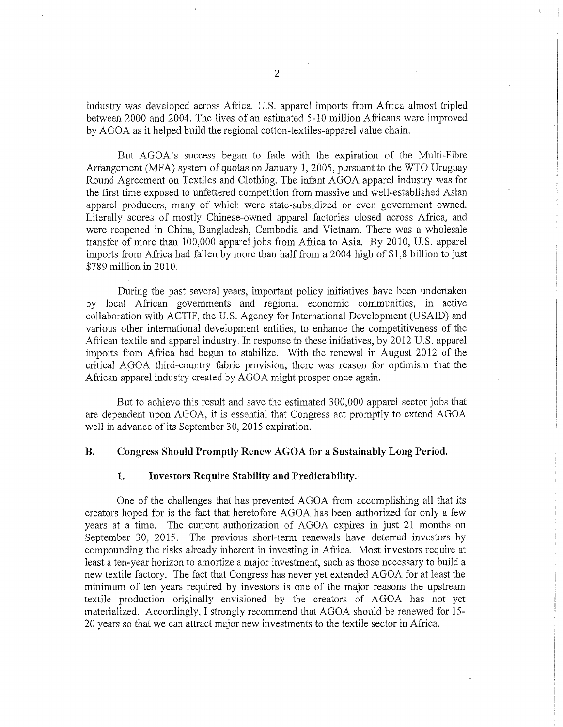industry was developed across Africa. U.S. apparel imports from Africa almost tripled between 2000 and 2004. The lives of an estimated 5-10 million Africans were improved by AGOA as it helped build the regional cotton-textiles-apparel value chain.

But AGOA's success began to fade with the expiration of the Multi-Fibre Arrangement (MFA) system of quotas on January 1, 2005, pursuant to the WTO Uruguay Round Agreement on Textiles and Clothing. The infant AGOA apparel industry was for the first time exposed to unfettered competition from massive and well-established Asian apparel producers, many of which were state-subsidized or even government owned. Literally scores of mostly Chinese-owned apparel factories closed across Africa, and were reopened in China, Bangladesh, Cambodia and Vietnam. There was a wholesale transfer of more than 100,000 apparel jobs from Africa to Asia. By 2010, U.S. apparel imports from Africa had fallen by more than half from a 2004 high of \$1.8 billion to just \$789 million in 2010.

During the past several years, important policy initiatives have been undertaken by local African governments and regional economic communities, in active collaboration with ACTIF, the U.S. Agency for International Development (USAID) and various other international development entities, to enhance the competitiveness of the African textile and apparel industry. In response to these initiatives, by 2012 U.S. apparel imports from Africa had begun to stabilize. With the renewal in August 2012 of the critical AGOA third-country fabric provision, there was reason for optimism that the African apparel industry created by AGOA might prosper once again.

But to achieve this result and save the estimated 300,000 apparel sector jobs that are dependent upon AGOA, it is essential that Congress act promptly to extend AGOA well in advance of its September 30, 2015 expiration.

#### **B. Congress Should Promptly Renew AGOA for a Sustainably Long Period.**

### **1. Investors Require Stability and Predictability.**

One of the challenges that has prevented AGOA from accomplishing all that its creators hoped for is the fact that heretofore AGOA has been authorized for only a few years at a time. The current authorization of AGOA expires in just 21 months on September 30, 2015. The previous short-term renewals have deterred investors by compounding the risks already inherent in investing in Africa. Most investors require at least a ten-year horizon to amortize a major investment, such as those necessary to build a new textile factory. The fact that Congress has never yet extended AGOA for at least the minimum of ten years required by investors is one of the major reasons the upstream textile production originally envisioned by the creators of AGOA has not yet materialized. Accordingly, I strongly recommend that AGOA should be renewed for 15- 20 years so that we can attract major new investments to the textile sector in Africa.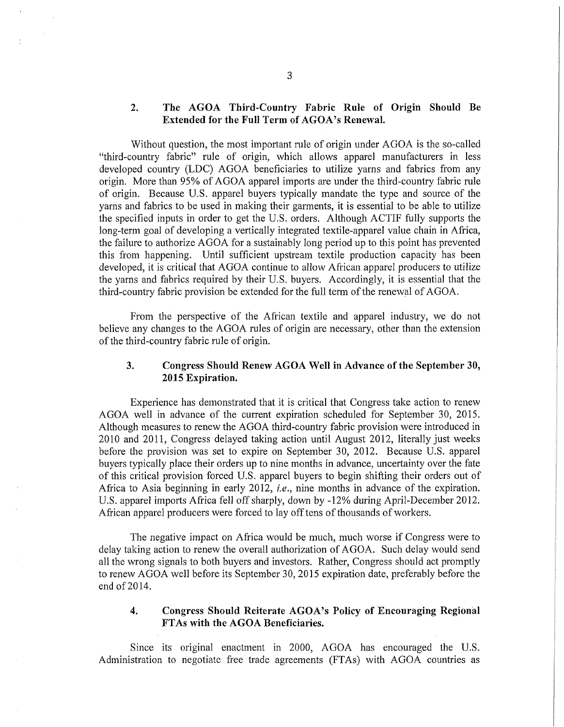# **2. The AGOA Third-Country Fabric Rule of Origin Should Be Extended for the Full Term of AGOA's Renewal.**

Without question, the most important rule of origin under AGOA is the so-called "third-country fabric" rule of origin, which allows apparel manufacturers in less developed country (LDC) AGOA beneficiaries to utilize yarns and fabrics from any origin. More than 95% of AGOA apparel imports are under the third-country fabric rule of origin. Because U.S. apparel buyers typically mandate the type and source of the yarns and fabrics to be used in making their garments, it is essential to be able to utilize the specified inputs in order to get the U.S. orders. Although ACTIF fully supports the long-term goal of developing a vertically integrated textile-apparel value chain in Africa, the failure to authorize AGOA for a sustainably long period up to this point has prevented this from happening. Until sufficient upstream textile production capacity has been developed, it is critical that AGOA continue to allow African apparel producers to utilize the yarns and fabrics required by their U.S. buyers. Accordingly, it is essential that the third-country fabric provision be extended for the full term of the renewal of AGOA.

From the perspective of the African textile and apparel industry, we do not believe any changes to the AGOA rules of origin are necessary, other than the extension of the third-country fabric rule of origin.

## **3. Congress Should Renew AGOA Well in Advance of the September 30, 2015 Expiration.**

Experience has demonstrated that it is critical that Congress take action to renew AGOA well in advance of the current expiration scheduled for September 30, 2015. Although measures to renew the AGOA third-country fabric provision were introduced in 2010 and 2011, Congress delayed taking action until August 2012, literally just weeks before the provision was set to expire on September 30, 2012. Because U.S. apparel buyers typically place their orders up to nine months in advance, uncertainty over the fate of this critical provision forced U.S. apparel buyers to begin shifting their orders out of Africa to Asia beginning in early 2012, *i.e.,* nine months in advance of the expiration. U.S. apparel imports Africa fell off sharply, down by -12% during April-December 2012. African apparel producers were forced to lay off tens of thousands of workers.

The negative impact on Africa would be much, much worse if Congress were to delay taking action to renew the overall authorization of AGOA. Such delay would send all the wrong signals to both buyers and investors. Rather, Congress should act promptly to renew AGOA well before its September 30, 2015 expiration date, preferably before the end of 2014.

## **4. Congress Should Reiterate AGOA's Policy of Encouraging Regional FTAs with the AGOA Beneficiaries.**

Since its original enactment in 2000, AGOA has encouraged the U.S. Administration to negotiate free trade agreements (FTAs) with AGOA countries as